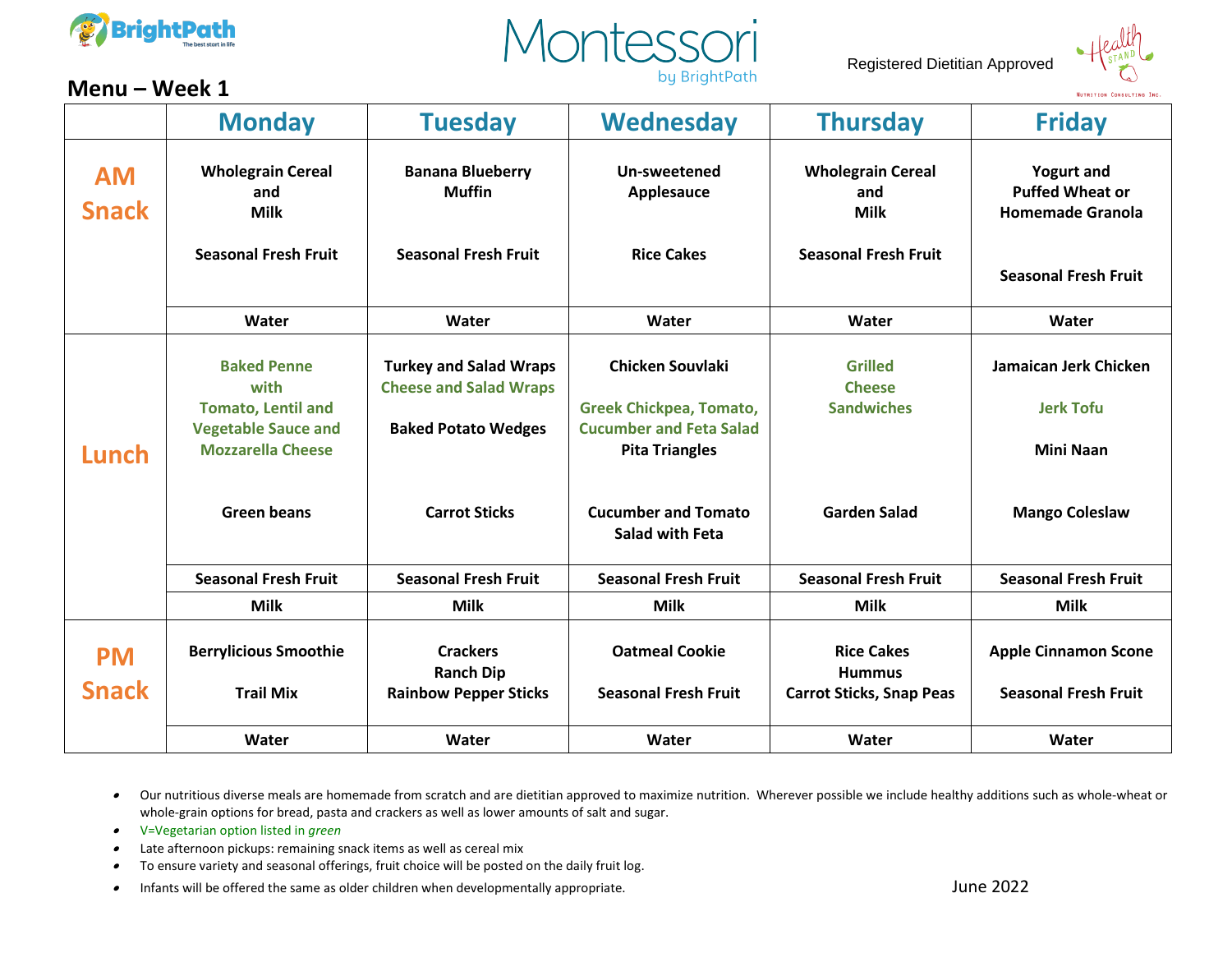





## **Menu – Week 1**

|                           | <b>Monday</b>                                                                                                                           | <b>Tuesday</b>                                                                                                       | <b>Wednesday</b>                                                                                                                                                      | <b>Thursday</b>                                                               | <b>Friday</b>                                                                                         |
|---------------------------|-----------------------------------------------------------------------------------------------------------------------------------------|----------------------------------------------------------------------------------------------------------------------|-----------------------------------------------------------------------------------------------------------------------------------------------------------------------|-------------------------------------------------------------------------------|-------------------------------------------------------------------------------------------------------|
| <b>AM</b><br><b>Snack</b> | <b>Wholegrain Cereal</b><br>and<br><b>Milk</b><br><b>Seasonal Fresh Fruit</b>                                                           | <b>Banana Blueberry</b><br><b>Muffin</b><br><b>Seasonal Fresh Fruit</b>                                              | Un-sweetened<br>Applesauce<br><b>Rice Cakes</b>                                                                                                                       | <b>Wholegrain Cereal</b><br>and<br><b>Milk</b><br><b>Seasonal Fresh Fruit</b> | <b>Yogurt and</b><br><b>Puffed Wheat or</b><br><b>Homemade Granola</b><br><b>Seasonal Fresh Fruit</b> |
|                           | Water                                                                                                                                   | Water                                                                                                                | Water                                                                                                                                                                 | Water                                                                         | Water                                                                                                 |
| Lunch                     | <b>Baked Penne</b><br>with<br><b>Tomato, Lentil and</b><br><b>Vegetable Sauce and</b><br><b>Mozzarella Cheese</b><br><b>Green beans</b> | <b>Turkey and Salad Wraps</b><br><b>Cheese and Salad Wraps</b><br><b>Baked Potato Wedges</b><br><b>Carrot Sticks</b> | Chicken Souvlaki<br><b>Greek Chickpea, Tomato,</b><br><b>Cucumber and Feta Salad</b><br><b>Pita Triangles</b><br><b>Cucumber and Tomato</b><br><b>Salad with Feta</b> | <b>Grilled</b><br><b>Cheese</b><br><b>Sandwiches</b><br><b>Garden Salad</b>   | Jamaican Jerk Chicken<br><b>Jerk Tofu</b><br><b>Mini Naan</b><br><b>Mango Coleslaw</b>                |
|                           | <b>Seasonal Fresh Fruit</b>                                                                                                             | <b>Seasonal Fresh Fruit</b>                                                                                          | <b>Seasonal Fresh Fruit</b>                                                                                                                                           | <b>Seasonal Fresh Fruit</b>                                                   | <b>Seasonal Fresh Fruit</b>                                                                           |
|                           | <b>Milk</b>                                                                                                                             | <b>Milk</b>                                                                                                          | <b>Milk</b>                                                                                                                                                           | <b>Milk</b>                                                                   | <b>Milk</b>                                                                                           |
| <b>PM</b><br><b>Snack</b> | <b>Berrylicious Smoothie</b><br><b>Trail Mix</b>                                                                                        | <b>Crackers</b><br><b>Ranch Dip</b><br><b>Rainbow Pepper Sticks</b>                                                  | <b>Oatmeal Cookie</b><br><b>Seasonal Fresh Fruit</b>                                                                                                                  | <b>Rice Cakes</b><br><b>Hummus</b><br><b>Carrot Sticks, Snap Peas</b>         | <b>Apple Cinnamon Scone</b><br><b>Seasonal Fresh Fruit</b>                                            |
|                           | Water                                                                                                                                   | Water                                                                                                                | Water                                                                                                                                                                 | Water                                                                         | Water                                                                                                 |

- •V=Vegetarian option listed in *green*
- •Late afternoon pickups: remaining snack items as well as cereal mix
- •To ensure variety and seasonal offerings, fruit choice will be posted on the daily fruit log.
- •Infants will be offered the same as older children when developmentally appropriate. June 2022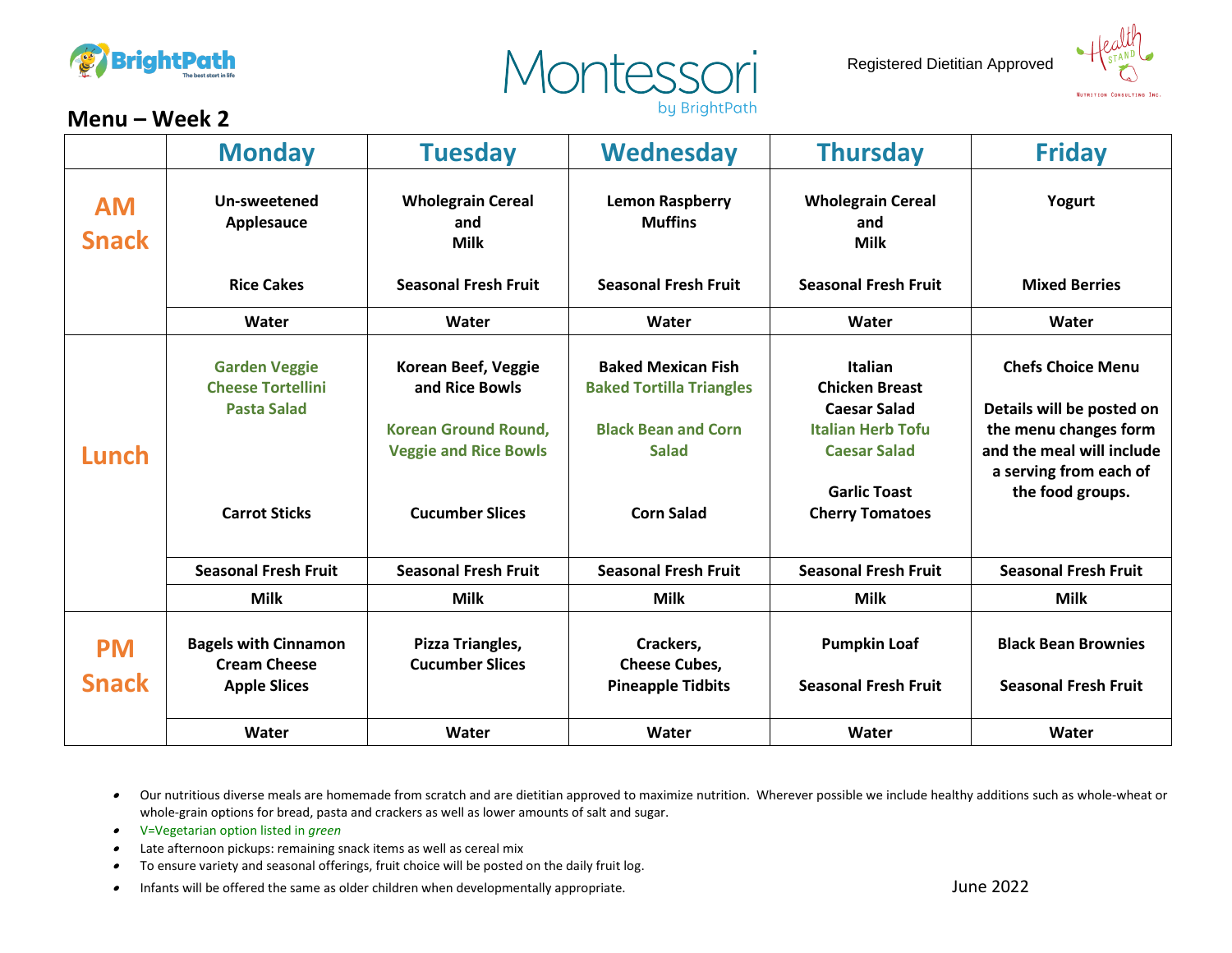





## **Menu – Week 2**

|                           | <b>Monday</b>                                                          | <b>Tuesday</b>                                              | Wednesday                                                    | <b>Thursday</b>                                                | <b>Friday</b>                                                                |
|---------------------------|------------------------------------------------------------------------|-------------------------------------------------------------|--------------------------------------------------------------|----------------------------------------------------------------|------------------------------------------------------------------------------|
| <b>AM</b><br><b>Snack</b> | Un-sweetened<br>Applesauce                                             | <b>Wholegrain Cereal</b><br>and<br><b>Milk</b>              | <b>Lemon Raspberry</b><br><b>Muffins</b>                     | <b>Wholegrain Cereal</b><br>and<br><b>Milk</b>                 | Yogurt                                                                       |
|                           | <b>Rice Cakes</b>                                                      | <b>Seasonal Fresh Fruit</b>                                 | <b>Seasonal Fresh Fruit</b>                                  | <b>Seasonal Fresh Fruit</b>                                    | <b>Mixed Berries</b>                                                         |
|                           | Water                                                                  | Water                                                       | Water                                                        | Water                                                          | Water                                                                        |
| Lunch                     | <b>Garden Veggie</b><br><b>Cheese Tortellini</b><br><b>Pasta Salad</b> | Korean Beef, Veggie<br>and Rice Bowls                       | <b>Baked Mexican Fish</b><br><b>Baked Tortilla Triangles</b> | <b>Italian</b><br><b>Chicken Breast</b><br><b>Caesar Salad</b> | <b>Chefs Choice Menu</b><br>Details will be posted on                        |
|                           |                                                                        | <b>Korean Ground Round,</b><br><b>Veggie and Rice Bowls</b> | <b>Black Bean and Corn</b><br><b>Salad</b>                   | <b>Italian Herb Tofu</b><br><b>Caesar Salad</b>                | the menu changes form<br>and the meal will include<br>a serving from each of |
|                           | <b>Carrot Sticks</b>                                                   | <b>Cucumber Slices</b>                                      | <b>Corn Salad</b>                                            | <b>Garlic Toast</b><br><b>Cherry Tomatoes</b>                  | the food groups.                                                             |
|                           | <b>Seasonal Fresh Fruit</b>                                            | <b>Seasonal Fresh Fruit</b>                                 | <b>Seasonal Fresh Fruit</b>                                  | <b>Seasonal Fresh Fruit</b>                                    | <b>Seasonal Fresh Fruit</b>                                                  |
|                           | <b>Milk</b>                                                            | <b>Milk</b>                                                 | <b>Milk</b>                                                  | <b>Milk</b>                                                    | <b>Milk</b>                                                                  |
| <b>PM</b>                 | <b>Bagels with Cinnamon</b><br><b>Cream Cheese</b>                     | Pizza Triangles,<br><b>Cucumber Slices</b>                  | Crackers,<br><b>Cheese Cubes,</b>                            | <b>Pumpkin Loaf</b>                                            | <b>Black Bean Brownies</b>                                                   |
| <b>Snack</b>              | <b>Apple Slices</b>                                                    |                                                             | <b>Pineapple Tidbits</b>                                     | <b>Seasonal Fresh Fruit</b>                                    | <b>Seasonal Fresh Fruit</b>                                                  |
|                           | Water                                                                  | Water                                                       | Water                                                        | Water                                                          | Water                                                                        |

- •V=Vegetarian option listed in *green*
- •Late afternoon pickups: remaining snack items as well as cereal mix
- •To ensure variety and seasonal offerings, fruit choice will be posted on the daily fruit log.
- •Infants will be offered the same as older children when developmentally appropriate. June 2022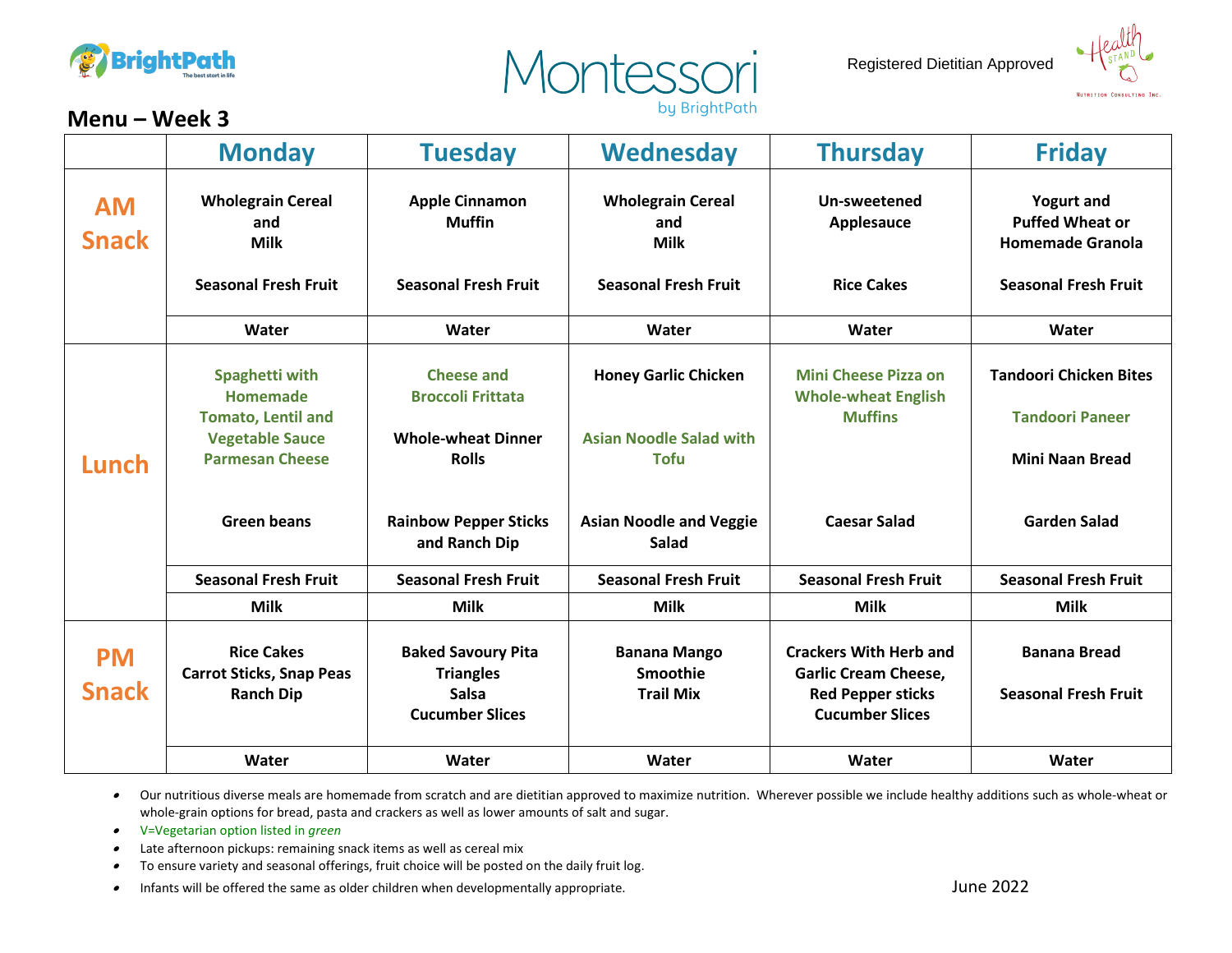





## **Menu – Week 3**

|                           | <b>Monday</b>                                        | <b>Tuesday</b>                                | Wednesday                                      | <b>Thursday</b>                                              | <b>Friday</b>                                                          |
|---------------------------|------------------------------------------------------|-----------------------------------------------|------------------------------------------------|--------------------------------------------------------------|------------------------------------------------------------------------|
| <b>AM</b><br><b>Snack</b> | <b>Wholegrain Cereal</b><br>and<br><b>Milk</b>       | <b>Apple Cinnamon</b><br><b>Muffin</b>        | <b>Wholegrain Cereal</b><br>and<br><b>Milk</b> | Un-sweetened<br>Applesauce                                   | <b>Yogurt and</b><br><b>Puffed Wheat or</b><br><b>Homemade Granola</b> |
|                           | <b>Seasonal Fresh Fruit</b>                          | <b>Seasonal Fresh Fruit</b>                   | <b>Seasonal Fresh Fruit</b>                    | <b>Rice Cakes</b>                                            | <b>Seasonal Fresh Fruit</b>                                            |
|                           | Water                                                | Water                                         | Water                                          | Water                                                        | Water                                                                  |
|                           | Spaghetti with<br><b>Homemade</b>                    | <b>Cheese and</b><br><b>Broccoli Frittata</b> | <b>Honey Garlic Chicken</b>                    | <b>Mini Cheese Pizza on</b><br><b>Whole-wheat English</b>    | <b>Tandoori Chicken Bites</b>                                          |
|                           | <b>Tomato, Lentil and</b><br><b>Vegetable Sauce</b>  | <b>Whole-wheat Dinner</b>                     | <b>Asian Noodle Salad with</b>                 | <b>Muffins</b>                                               | <b>Tandoori Paneer</b>                                                 |
| Lunch                     | <b>Parmesan Cheese</b>                               | <b>Rolls</b>                                  | <b>Tofu</b>                                    |                                                              | <b>Mini Naan Bread</b>                                                 |
|                           | <b>Green beans</b>                                   | <b>Rainbow Pepper Sticks</b><br>and Ranch Dip | <b>Asian Noodle and Veggie</b><br>Salad        | <b>Caesar Salad</b>                                          | <b>Garden Salad</b>                                                    |
|                           | <b>Seasonal Fresh Fruit</b>                          | <b>Seasonal Fresh Fruit</b>                   | <b>Seasonal Fresh Fruit</b>                    | <b>Seasonal Fresh Fruit</b>                                  | <b>Seasonal Fresh Fruit</b>                                            |
|                           | <b>Milk</b>                                          | <b>Milk</b>                                   | <b>Milk</b>                                    | <b>Milk</b>                                                  | <b>Milk</b>                                                            |
| <b>PM</b>                 | <b>Rice Cakes</b><br><b>Carrot Sticks, Snap Peas</b> | <b>Baked Savoury Pita</b><br><b>Triangles</b> | <b>Banana Mango</b><br>Smoothie                | <b>Crackers With Herb and</b><br><b>Garlic Cream Cheese,</b> | <b>Banana Bread</b>                                                    |
| <b>Snack</b>              | <b>Ranch Dip</b>                                     | <b>Salsa</b><br><b>Cucumber Slices</b>        | <b>Trail Mix</b>                               | <b>Red Pepper sticks</b><br><b>Cucumber Slices</b>           | <b>Seasonal Fresh Fruit</b>                                            |
|                           | Water                                                | Water                                         | Water                                          | Water                                                        | Water                                                                  |

- •V=Vegetarian option listed in *green*
- •Late afternoon pickups: remaining snack items as well as cereal mix
- •To ensure variety and seasonal offerings, fruit choice will be posted on the daily fruit log.
- •Infants will be offered the same as older children when developmentally appropriate. June 2022